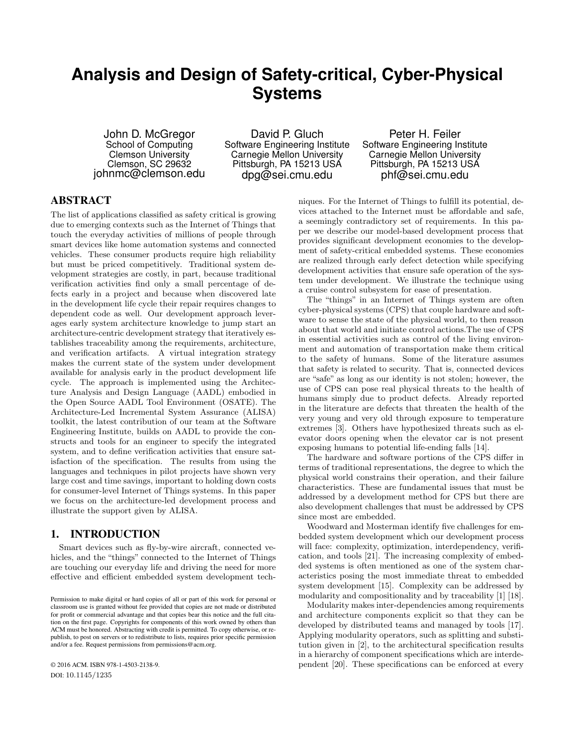# **Analysis and Design of Safety-critical, Cyber-Physical Systems**

John D. McGregor School of Computing Clemson University Clemson, SC 29632 johnmc@clemson.edu

David P. Gluch Software Engineering Institute Carnegie Mellon University Pittsburgh, PA 15213 USA dpg@sei.cmu.edu

Peter H. Feiler Software Engineering Institute Carnegie Mellon University Pittsburgh, PA 15213 USA phf@sei.cmu.edu

# ABSTRACT

The list of applications classified as safety critical is growing due to emerging contexts such as the Internet of Things that touch the everyday activities of millions of people through smart devices like home automation systems and connected vehicles. These consumer products require high reliability but must be priced competitively. Traditional system development strategies are costly, in part, because traditional verification activities find only a small percentage of defects early in a project and because when discovered late in the development life cycle their repair requires changes to dependent code as well. Our development approach leverages early system architecture knowledge to jump start an architecture-centric development strategy that iteratively establishes traceability among the requirements, architecture, and verification artifacts. A virtual integration strategy makes the current state of the system under development available for analysis early in the product development life cycle. The approach is implemented using the Architecture Analysis and Design Language (AADL) embodied in the Open Source AADL Tool Environment (OSATE). The Architecture-Led Incremental System Assurance (ALISA) toolkit, the latest contribution of our team at the Software Engineering Institute, builds on AADL to provide the constructs and tools for an engineer to specify the integrated system, and to define verification activities that ensure satisfaction of the specification. The results from using the languages and techniques in pilot projects have shown very large cost and time savings, important to holding down costs for consumer-level Internet of Things systems. In this paper we focus on the architecture-led development process and illustrate the support given by ALISA.

# 1. INTRODUCTION

Smart devices such as fly-by-wire aircraft, connected vehicles, and the "things" connected to the Internet of Things are touching our everyday life and driving the need for more effective and efficient embedded system development tech-

© 2016 ACM. ISBN 978-1-4503-2138-9. DOI: 10.1145/1235

niques. For the Internet of Things to fulfill its potential, devices attached to the Internet must be affordable and safe, a seemingly contradictory set of requirements. In this paper we describe our model-based development process that provides significant development economies to the development of safety-critical embedded systems. These economies are realized through early defect detection while specifying development activities that ensure safe operation of the system under development. We illustrate the technique using a cruise control subsystem for ease of presentation.

The "things" in an Internet of Things system are often cyber-physical systems (CPS) that couple hardware and software to sense the state of the physical world, to then reason about that world and initiate control actions.The use of CPS in essential activities such as control of the living environment and automation of transportation make them critical to the safety of humans. Some of the literature assumes that safety is related to security. That is, connected devices are "safe" as long as our identity is not stolen; however, the use of CPS can pose real physical threats to the health of humans simply due to product defects. Already reported in the literature are defects that threaten the health of the very young and very old through exposure to temperature extremes [3]. Others have hypothesized threats such as elevator doors opening when the elevator car is not present exposing humans to potential life-ending falls [14].

The hardware and software portions of the CPS differ in terms of traditional representations, the degree to which the physical world constrains their operation, and their failure characteristics. These are fundamental issues that must be addressed by a development method for CPS but there are also development challenges that must be addressed by CPS since most are embedded.

Woodward and Mosterman identify five challenges for embedded system development which our development process will face: complexity, optimization, interdependency, verification, and tools [21]. The increasing complexity of embedded systems is often mentioned as one of the system characteristics posing the most immediate threat to embedded system development [15]. Complexity can be addressed by modularity and compositionality and by traceability [1] [18].

Modularity makes inter-dependencies among requirements and architecture components explicit so that they can be developed by distributed teams and managed by tools [17]. Applying modularity operators, such as splitting and substitution given in [2], to the architectural specification results in a hierarchy of component specifications which are interdependent [20]. These specifications can be enforced at every

Permission to make digital or hard copies of all or part of this work for personal or classroom use is granted without fee provided that copies are not made or distributed for profit or commercial advantage and that copies bear this notice and the full citation on the first page. Copyrights for components of this work owned by others than ACM must be honored. Abstracting with credit is permitted. To copy otherwise, or republish, to post on servers or to redistribute to lists, requires prior specific permission and/or a fee. Request permissions from permissions@acm.org.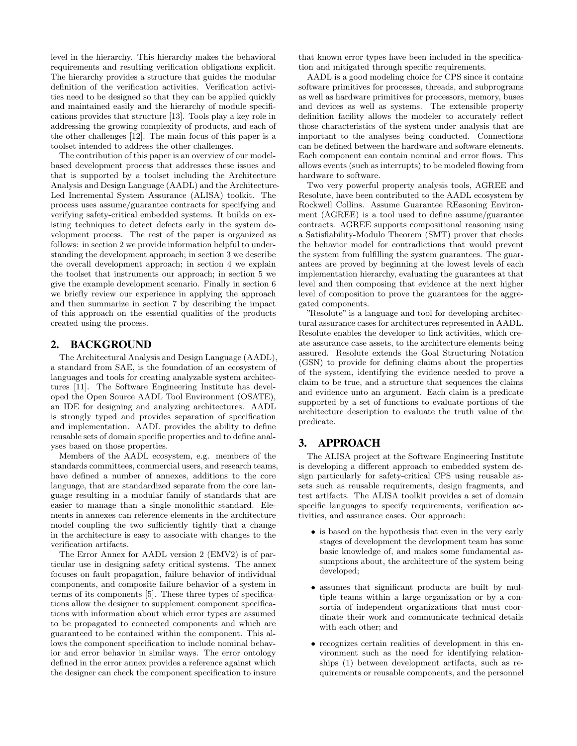level in the hierarchy. This hierarchy makes the behavioral requirements and resulting verification obligations explicit. The hierarchy provides a structure that guides the modular definition of the verification activities. Verification activities need to be designed so that they can be applied quickly and maintained easily and the hierarchy of module specifications provides that structure [13]. Tools play a key role in addressing the growing complexity of products, and each of the other challenges [12]. The main focus of this paper is a toolset intended to address the other challenges.

The contribution of this paper is an overview of our modelbased development process that addresses these issues and that is supported by a toolset including the Architecture Analysis and Design Language (AADL) and the Architecture-Led Incremental System Assurance (ALISA) toolkit. The process uses assume/guarantee contracts for specifying and verifying safety-critical embedded systems. It builds on existing techniques to detect defects early in the system development process. The rest of the paper is organized as follows: in section 2 we provide information helpful to understanding the development approach; in section 3 we describe the overall development approach; in section 4 we explain the toolset that instruments our approach; in section 5 we give the example development scenario. Finally in section 6 we briefly review our experience in applying the approach and then summarize in section 7 by describing the impact of this approach on the essential qualities of the products created using the process.

### 2. BACKGROUND

The Architectural Analysis and Design Language (AADL), a standard from SAE, is the foundation of an ecosystem of languages and tools for creating analyzable system architectures [11]. The Software Engineering Institute has developed the Open Source AADL Tool Environment (OSATE), an IDE for designing and analyzing architectures. AADL is strongly typed and provides separation of specification and implementation. AADL provides the ability to define reusable sets of domain specific properties and to define analyses based on those properties.

Members of the AADL ecosystem, e.g. members of the standards committees, commercial users, and research teams, have defined a number of annexes, additions to the core language, that are standardized separate from the core language resulting in a modular family of standards that are easier to manage than a single monolithic standard. Elements in annexes can reference elements in the architecture model coupling the two sufficiently tightly that a change in the architecture is easy to associate with changes to the verification artifacts.

The Error Annex for AADL version 2 (EMV2) is of particular use in designing safety critical systems. The annex focuses on fault propagation, failure behavior of individual components, and composite failure behavior of a system in terms of its components [5]. These three types of specifications allow the designer to supplement component specifications with information about which error types are assumed to be propagated to connected components and which are guaranteed to be contained within the component. This allows the component specification to include nominal behavior and error behavior in similar ways. The error ontology defined in the error annex provides a reference against which the designer can check the component specification to insure

that known error types have been included in the specification and mitigated through specific requirements.

AADL is a good modeling choice for CPS since it contains software primitives for processes, threads, and subprograms as well as hardware primitives for processors, memory, buses and devices as well as systems. The extensible property definition facility allows the modeler to accurately reflect those characteristics of the system under analysis that are important to the analyses being conducted. Connections can be defined between the hardware and software elements. Each component can contain nominal and error flows. This allows events (such as interrupts) to be modeled flowing from hardware to software.

Two very powerful property analysis tools, AGREE and Resolute, have been contributed to the AADL ecosystem by Rockwell Collins. Assume Guarantee REasoning Environment (AGREE) is a tool used to define assume/guarantee contracts. AGREE supports compositional reasoning using a Satisfiability-Modulo Theorem (SMT) prover that checks the behavior model for contradictions that would prevent the system from fulfilling the system guarantees. The guarantees are proved by beginning at the lowest levels of each implementation hierarchy, evaluating the guarantees at that level and then composing that evidence at the next higher level of composition to prove the guarantees for the aggregated components.

"Resolute" is a language and tool for developing architectural assurance cases for architectures represented in AADL. Resolute enables the developer to link activities, which create assurance case assets, to the architecture elements being assured. Resolute extends the Goal Structuring Notation (GSN) to provide for defining claims about the properties of the system, identifying the evidence needed to prove a claim to be true, and a structure that sequences the claims and evidence unto an argument. Each claim is a predicate supported by a set of functions to evaluate portions of the architecture description to evaluate the truth value of the predicate.

### 3. APPROACH

The ALISA project at the Software Engineering Institute is developing a different approach to embedded system design particularly for safety-critical CPS using reusable assets such as reusable requirements, design fragments, and test artifacts. The ALISA toolkit provides a set of domain specific languages to specify requirements, verification activities, and assurance cases. Our approach:

- is based on the hypothesis that even in the very early stages of development the development team has some basic knowledge of, and makes some fundamental assumptions about, the architecture of the system being developed;
- assumes that significant products are built by multiple teams within a large organization or by a consortia of independent organizations that must coordinate their work and communicate technical details with each other; and
- recognizes certain realities of development in this environment such as the need for identifying relationships (1) between development artifacts, such as requirements or reusable components, and the personnel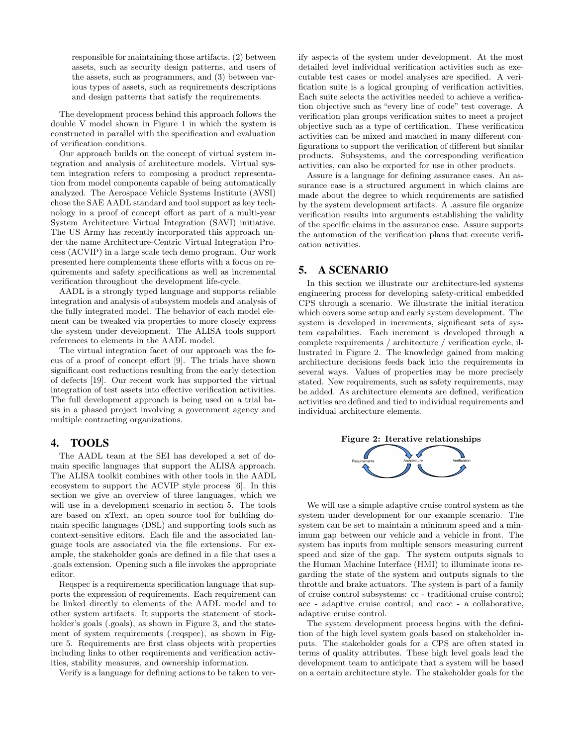responsible for maintaining those artifacts, (2) between assets, such as security design patterns, and users of the assets, such as programmers, and (3) between various types of assets, such as requirements descriptions and design patterns that satisfy the requirements.

The development process behind this approach follows the double V model shown in Figure 1 in which the system is constructed in parallel with the specification and evaluation of verification conditions.

Our approach builds on the concept of virtual system integration and analysis of architecture models. Virtual system integration refers to composing a product representation from model components capable of being automatically analyzed. The Aerospace Vehicle Systems Institute (AVSI) chose the SAE AADL standard and tool support as key technology in a proof of concept effort as part of a multi-year System Architecture Virtual Integration (SAVI) initiative. The US Army has recently incorporated this approach under the name Architecture-Centric Virtual Integration Process (ACVIP) in a large scale tech demo program. Our work presented here complements these efforts with a focus on requirements and safety specifications as well as incremental verification throughout the development life-cycle.

AADL is a strongly typed language and supports reliable integration and analysis of subsystem models and analysis of the fully integrated model. The behavior of each model element can be tweaked via properties to more closely express the system under development. The ALISA tools support references to elements in the AADL model.

The virtual integration facet of our approach was the focus of a proof of concept effort [9]. The trials have shown significant cost reductions resulting from the early detection of defects [19]. Our recent work has supported the virtual integration of test assets into effective verification activities. The full development approach is being used on a trial basis in a phased project involving a government agency and multiple contracting organizations.

### 4. TOOLS

The AADL team at the SEI has developed a set of domain specific languages that support the ALISA approach. The ALISA toolkit combines with other tools in the AADL ecosystem to support the ACVIP style process [6]. In this section we give an overview of three languages, which we will use in a development scenario in section 5. The tools are based on xText, an open source tool for building domain specific languages (DSL) and supporting tools such as context-sensitive editors. Each file and the associated language tools are associated via the file extensions. For example, the stakeholder goals are defined in a file that uses a .goals extension. Opening such a file invokes the appropriate editor.

Reqspec is a requirements specification language that supports the expression of requirements. Each requirement can be linked directly to elements of the AADL model and to other system artifacts. It supports the statement of stockholder's goals (.goals), as shown in Figure 3, and the statement of system requirements (reqspec), as shown in Figure 5. Requirements are first class objects with properties including links to other requirements and verification activities, stability measures, and ownership information.

Verify is a language for defining actions to be taken to ver-

ify aspects of the system under development. At the most detailed level individual verification activities such as executable test cases or model analyses are specified. A verification suite is a logical grouping of verification activities. Each suite selects the activities needed to achieve a verification objective such as "every line of code" test coverage. A verification plan groups verification suites to meet a project objective such as a type of certification. These verification activities can be mixed and matched in many different configurations to support the verification of different but similar products. Subsystems, and the corresponding verification activities, can also be exported for use in other products.

Assure is a language for defining assurance cases. An assurance case is a structured argument in which claims are made about the degree to which requirements are satisfied by the system development artifacts. A .assure file organize verification results into arguments establishing the validity of the specific claims in the assurance case. Assure supports the automation of the verification plans that execute verification activities.

## 5. A SCENARIO

In this section we illustrate our architecture-led systems engineering process for developing safety-critical embedded CPS through a scenario. We illustrate the initial iteration which covers some setup and early system development. The system is developed in increments, significant sets of system capabilities. Each increment is developed through a complete requirements / architecture / verification cycle, illustrated in Figure 2. The knowledge gained from making architecture decisions feeds back into the requirements in several ways. Values of properties may be more precisely stated. New requirements, such as safety requirements, may be added. As architecture elements are defined, verification activities are defined and tied to individual requirements and individual architecture elements.



We will use a simple adaptive cruise control system as the system under development for our example scenario. The system can be set to maintain a minimum speed and a minimum gap between our vehicle and a vehicle in front. The system has inputs from multiple sensors measuring current speed and size of the gap. The system outputs signals to the Human Machine Interface (HMI) to illuminate icons regarding the state of the system and outputs signals to the throttle and brake actuators. The system is part of a family of cruise control subsystems: cc - traditional cruise control; acc - adaptive cruise control; and cacc - a collaborative, adaptive cruise control.

The system development process begins with the definition of the high level system goals based on stakeholder inputs. The stakeholder goals for a CPS are often stated in terms of quality attributes. These high level goals lead the development team to anticipate that a system will be based on a certain architecture style. The stakeholder goals for the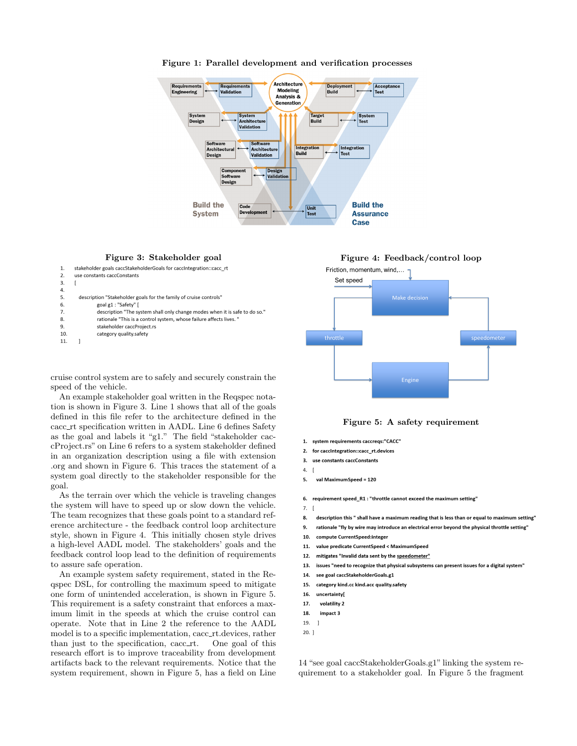

### Figure 1: Parallel development and verification processes



| 1.            | stakeholder goals caccStakeholderGoals for caccintegration::cacc rt        |
|---------------|----------------------------------------------------------------------------|
| $\mathcal{P}$ | use constants caccConstants                                                |
| 3.            |                                                                            |
| 4.            |                                                                            |
| 5.            | description "Stakeholder goals for the family of cruise controls"          |
| 6.            | goal g1: "Safety" [                                                        |
| 7.            | description "The system shall only change modes when it is safe to do so." |
| 8.            | rationale "This is a control system, whose failure affects lives."         |
| 9.            | stakeholder caccProject.rs                                                 |
| 10.           | category quality.safety                                                    |
| 11.           |                                                                            |

cruise control system are to safely and securely constrain the speed of the vehicle.

An example stakeholder goal written in the Reqspec notation is shown in Figure 3. Line 1 shows that all of the goals defined in this file refer to the architecture defined in the cacc rt specification written in AADL. Line 6 defines Safety as the goal and labels it "g1." The field "stakeholder caccProject.rs" on Line 6 refers to a system stakeholder defined in an organization description using a file with extension .org and shown in Figure 6. This traces the statement of a system goal directly to the stakeholder responsible for the goal.

As the terrain over which the vehicle is traveling changes the system will have to speed up or slow down the vehicle. The team recognizes that these goals point to a standard reference architecture - the feedback control loop architecture style, shown in Figure 4. This initially chosen style drives a high-level AADL model. The stakeholders' goals and the feedback control loop lead to the definition of requirements to assure safe operation.

An example system safety requirement, stated in the Reqspec DSL, for controlling the maximum speed to mitigate one form of unintended acceleration, is shown in Figure 5. This requirement is a safety constraint that enforces a maximum limit in the speeds at which the cruise control can operate. Note that in Line 2 the reference to the AADL model is to a specific implementation, cacc\_rt.devices, rather than just to the specification, cacc rt. One goal of this research effort is to improve traceability from development artifacts back to the relevant requirements. Notice that the system requirement, shown in Figure 5, has a field on Line



Figure 5: A safety requirement

- 1. system requirements caccregs:"CACC"
- 2. for caccintegration::cacc rt.devices
- $\overline{3}$ . use constants caccConstants
- $4.$  $\overline{1}$
- 5. val MaximumSpeed = 120
	-
- 6. requirement speed R1 : "throttle cannot exceed the maximum setting"
- $7.$  $\overline{1}$
- 8. description this " shall have a maximum reading that is less than or equal to maximum setting"
- $9.$ rationale "fly by wire may introduce an electrical error beyond the physical throttle setting'
- $10$ compute CurrentSpeed:integer
- 11. value predicate CurrentSpeed < MaximumSpeed
- $12.$ mitigates "Invalid data sent by the speedometer"
- 13. issues "need to recognize that physical subsystems can present issues for a digital system"
- see goal caccStakeholderGoals.g1 14.
- $15.$ category kind.cc kind.acc quality.safety
- 16. uncertainty
- 17. volatility 2
- 18. impact 3
- 19.  $\overline{1}$
- $20.$ ]

14 "see goal caccStakeholderGoals.g1" linking the system requirement to a stakeholder goal. In Figure 5 the fragment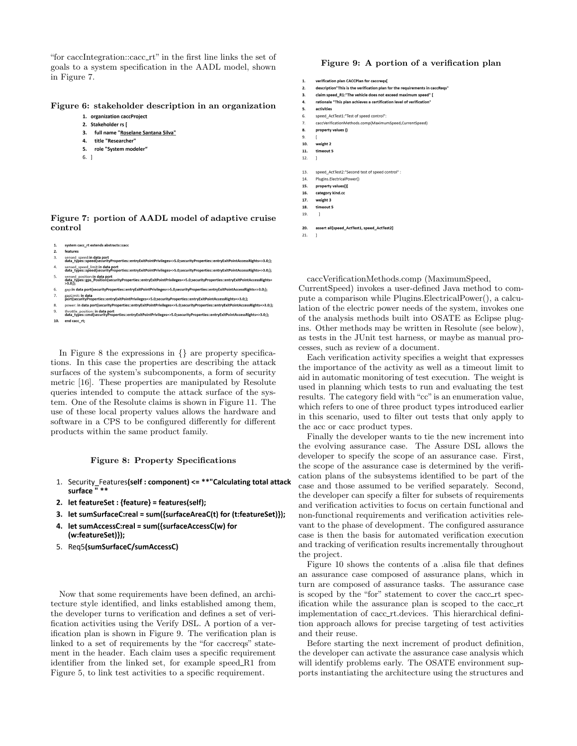"for caccIntegration::cacc\_rt" in the first line links the set of goals to a system specification in the AADL model, shown in Figure 7.

### Figure 6: stakeholder description in an organization

- 1. organization caccProject
- 2. Stakeholder rs [
- 3. full name "Roselane Santana Silva"
- $\mathbf{A}$ title "Researcher"
- 5. role "System modeler"
- $6.1$

### Figure 7: portion of AADL model of adaptive cruise control

#### $\mathbf{1}$ system cacc\_rt extends abstracts::cace

feature  $\overline{3}$ sensed\_speed:in data port<br>data\_types::speed{securityProperties::entryExitPointPrivileges=>5.0;securityProperties::entryExitPointAccessRights=>3.0;};  $\overline{a}$ sensed\_speed\_limit:in data port<br>data\_types::speed{securityProperties::entryExitPointPrivileges=>5.0;securityProperties::entryExitPointAccessRights=>3.0;};  $\overline{\mathbf{5}}$ sensed\_position:in data port<br>data\_types::gps\_Position{securityProperties::entryExitPointPrivileges=>5.0;securityProperties::entryExitPointAccessRights=<br>>3.0.1.YPes::gps\_Position{securityProperties::entryExitPointPrivileges . . . . . , , , ,<br>gap:in data port{securityProperties::entryExitPointPrivileges=>5.0;securityProperties::entryExitPointAccessRights=>3.0;}; gapLimit: in data<br>port{securityProperties::entryExitPointPrivileges=>5.0;securityProperties::entryExitPointAccessRights=>3.0;}; power: in data port{securityProperties::entryExitPointPrivileges=>5.0;securityProperties::entryExitPointAccessRights=>3.0;}; throttle\_position: in data port<br>data\_types::cmd{securityProperties::entryExitPointPrivileges=>5.0;securityProperties::entryExitPointAccessRights=>3.0;};  $10.$ end cacc\_rt;

In Figure 8 the expressions in {} are property specifications. In this case the properties are describing the attack surfaces of the system's subcomponents, a form of security metric [16]. These properties are manipulated by Resolute queries intended to compute the attack surface of the system. One of the Resolute claims is shown in Figure 11. The use of these local property values allows the hardware and software in a CPS to be configured differently for different products within the same product family.

### Figure 8: Property Specifications

- 1. Security\_Features(self: component) <= \*\*"Calculating total attack surface "\*\*
- 2. let featureSet : {feature} = features(self);
- 3. let sumSurfaceC:real = sum({surfaceAreaC(t) for (t:featureSet)});
- 4. let sumAccessC:real = sum({surfaceAccessC(w) for (w:featureSet)});
- 5. Req5(sumSurfaceC/sumAccessC)

Now that some requirements have been defined, an architecture style identified, and links established among them, the developer turns to verification and defines a set of verification activities using the Verify DSL. A portion of a verification plan is shown in Figure 9. The verification plan is linked to a set of requirements by the "for caccreqs" statement in the header. Each claim uses a specific requirement identifier from the linked set, for example speed R1 from Figure 5, to link test activities to a specific requirement.

### Figure 9: A portion of a verification plan

| 1. | verification plan CACCPlan for caccreqs |
|----|-----------------------------------------|
|----|-----------------------------------------|

- $\overline{2}$ description"This is the verification plan for the requirements in caccReqs'
- claim speed\_R1:"The vehicle does not exceed maximum speed" [ 3.  $\overline{a}$ rationale "This plan achieves a certification level of verification"
- activities  $\tilde{\mathbf{x}}$
- speed ActTest1:"Test of speed control": 6.
- $\overline{z}$ caccVerificationMethods.comp(MaximumSpeed.CurrentSpeed)
- 8. property values ()
- 9
- $10.$ weight 2  $11.$ timeout 5
- $12.$  $\overline{1}$
- $13.$ speed\_ActTest2:"Second test of speed control"
- $14.$ Plugins.ElectricalPower()  $15.$
- property values()[ 16. category kind.co
- $17.$ weight 3
- timeout 5 18.
- 19.  $\overline{1}$
- 20. assert all[speed\_ActTest1, speed\_ActTest2]

 $21.$  $\overline{1}$ 

caccVerificationMethods.comp (MaximumSpeed, CurrentSpeed) invokes a user-defined Java method to compute a comparison while Plugins.ElectricalPower(), a calculation of the electric power needs of the system, invokes one of the analysis methods built into OSATE as Eclipse plugins. Other methods may be written in Resolute (see below), as tests in the JUnit test harness, or maybe as manual processes, such as review of a document.

Each verification activity specifies a weight that expresses the importance of the activity as well as a timeout limit to aid in automatic monitoring of test execution. The weight is used in planning which tests to run and evaluating the test results. The category field with "cc" is an enumeration value, which refers to one of three product types introduced earlier in this scenario, used to filter out tests that only apply to the acc or cacc product types.

Finally the developer wants to tie the new increment into the evolving assurance case. The Assure DSL allows the developer to specify the scope of an assurance case. First, the scope of the assurance case is determined by the verification plans of the subsystems identified to be part of the case and those assumed to be verified separately. Second, the developer can specify a filter for subsets of requirements and verification activities to focus on certain functional and non-functional requirements and verification activities relevant to the phase of development. The configured assurance case is then the basis for automated verification execution and tracking of verification results incrementally throughout the project.

Figure 10 shows the contents of a .alisa file that defines an assurance case composed of assurance plans, which in turn are composed of assurance tasks. The assurance case is scoped by the "for" statement to cover the cacc\_rt specification while the assurance plan is scoped to the cacc\_rt implementation of cacc\_rt.devices. This hierarchical definition approach allows for precise targeting of test activities and their reuse.

Before starting the next increment of product definition, the developer can activate the assurance case analysis which will identify problems early. The OSATE environment supports instantiating the architecture using the structures and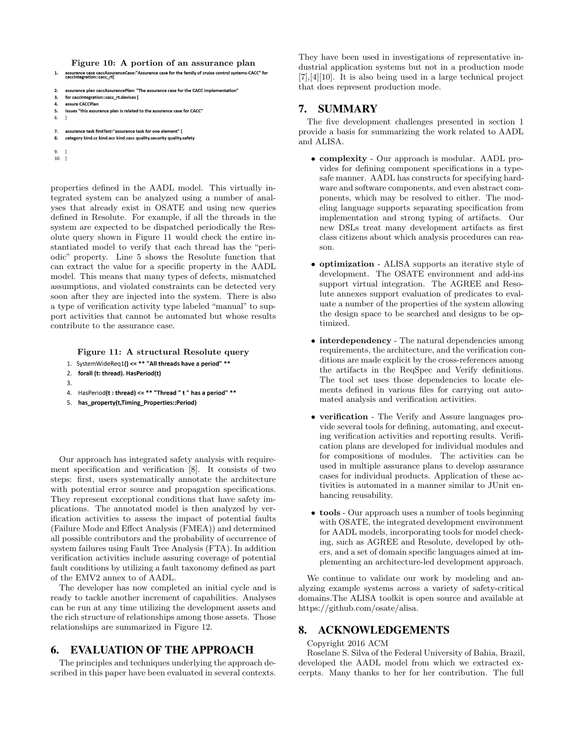Figure 10: A portion of an assurance plan<br>assurance case caccAssuranceCase:"Assurance case for the family of cruise control systems-CACC" for<br>caccinteeration:::cacc rti

```
\overline{2}assurance plan caccAssurancePlan: "The assurance case for the CACC implementation'
```

```
\overline{\mathbf{3}}for caccintegration::cacc rt.devices [
```
- $\overline{a}$ assure CACCPlan
- 5. issues "this assurance plan is related to the assurance case for CACC"

```
6.
```

```
assurance task firstTest:"assurance task for one element" [
\overline{7}8.
     category kind.cc kind.acc kind.cacc quality.security quality.safety
```
9.

 $\mathbf{1}$ 

```
10.1
```
properties defined in the AADL model. This virtually integrated system can be analyzed using a number of analyses that already exist in OSATE and using new queries defined in Resolute. For example, if all the threads in the system are expected to be dispatched periodically the Resolute query shown in Figure 11 would check the entire instantiated model to verify that each thread has the "periodic" property. Line 5 shows the Resolute function that can extract the value for a specific property in the AADL model. This means that many types of defects, mismatched assumptions, and violated constraints can be detected very soon after they are injected into the system. There is also a type of verification activity type labeled "manual" to support activities that cannot be automated but whose results contribute to the assurance case.

Figure 11: A structural Resolute query

- 1. SystemWideReq1() <= \*\* "All threads have a period" \*\*
- forall (t: thread). HasPeriod(t)  $2.$
- $\overline{3}$ .
- 4. HasPeriod(t: thread) <= \*\* "Thread" t" has a period" \*\*
- 5. has\_property(t,Timing\_Properties::Period)

Our approach has integrated safety analysis with requirement specification and verification [8]. It consists of two steps: first, users systematically annotate the architecture with potential error source and propagation specifications. They represent exceptional conditions that have safety implications. The annotated model is then analyzed by verification activities to assess the impact of potential faults (Failure Mode and Effect Analysis (FMEA)) and determined all possible contributors and the probability of occurrence of system failures using Fault Tree Analysis (FTA). In addition verification activities include assuring coverage of potential fault conditions by utilizing a fault taxonomy defined as part of the EMV2 annex to of AADL.

The developer has now completed an initial cycle and is ready to tackle another increment of capabilities. Analyses can be run at any time utilizing the development assets and the rich structure of relationships among those assets. Those relationships are summarized in Figure 12.

# 6. EVALUATION OF THE APPROACH

The principles and techniques underlying the approach described in this paper have been evaluated in several contexts. They have been used in investigations of representative industrial application systems but not in a production mode [7],[4][10]. It is also being used in a large technical project that does represent production mode.

# 7. SUMMARY

The five development challenges presented in section 1 provide a basis for summarizing the work related to AADL and ALISA.

- complexity Our approach is modular. AADL provides for defining component specifications in a typesafe manner. AADL has constructs for specifying hardware and software components, and even abstract components, which may be resolved to either. The modeling language supports separating specification from implementation and strong typing of artifacts. Our new DSLs treat many development artifacts as first class citizens about which analysis procedures can reason.
- optimization ALISA supports an iterative style of development. The OSATE environment and add-ins support virtual integration. The AGREE and Resolute annexes support evaluation of predicates to evaluate a number of the properties of the system allowing the design space to be searched and designs to be optimized.
- interdependency The natural dependencies among requirements, the architecture, and the verification conditions are made explicit by the cross-references among the artifacts in the ReqSpec and Verify definitions. The tool set uses those dependencies to locate elements defined in various files for carrying out automated analysis and verification activities.
- verification The Verify and Assure languages provide several tools for defining, automating, and executing verification activities and reporting results. Verification plans are developed for individual modules and for compositions of modules. The activities can be used in multiple assurance plans to develop assurance cases for individual products. Application of these activities is automated in a manner similar to JUnit enhancing reusability.
- tools Our approach uses a number of tools beginning with OSATE, the integrated development environment for AADL models, incorporating tools for model checking, such as AGREE and Resolute, developed by others, and a set of domain specific languages aimed at implementing an architecture-led development approach.

We continue to validate our work by modeling and analyzing example systems across a variety of safety-critical domains.The ALISA toolkit is open source and available at https://github.com/osate/alisa.

# 8. ACKNOWLEDGEMENTS

### Copyright 2016 ACM

Roselane S. Silva of the Federal University of Bahia, Brazil, developed the AADL model from which we extracted excerpts. Many thanks to her for her contribution. The full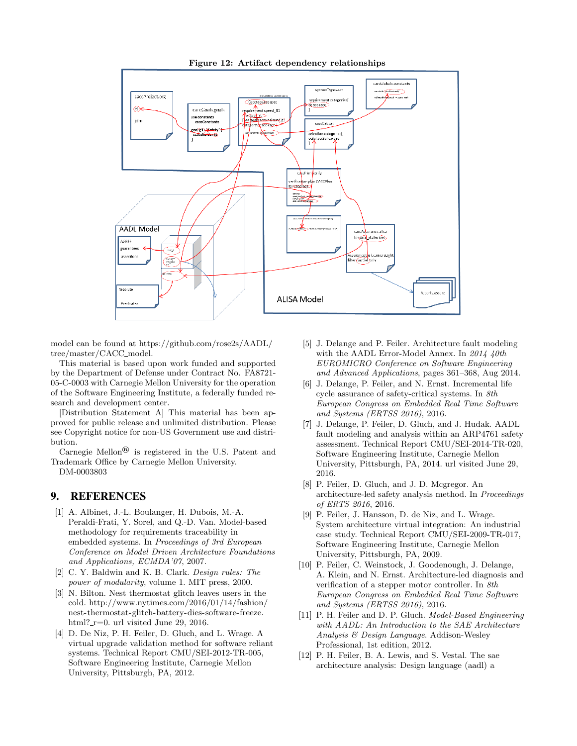

### Figure 12: Artifact dependency relationships

model can be found at https://github.com/rose2s/AADL/ tree/master/CACC\_model.

This material is based upon work funded and supported by the Department of Defense under Contract No. FA8721- 05-C-0003 with Carnegie Mellon University for the operation of the Software Engineering Institute, a federally funded research and development center.

[Distribution Statement A] This material has been approved for public release and unlimited distribution. Please see Copyright notice for non-US Government use and distribution.

Carnegie Mellon<sup>®</sup> is registered in the U.S. Patent and Trademark Office by Carnegie Mellon University. DM-0003803

### 9. REFERENCES

- [1] A. Albinet, J.-L. Boulanger, H. Dubois, M.-A. Peraldi-Frati, Y. Sorel, and Q.-D. Van. Model-based methodology for requirements traceability in embedded systems. In Proceedings of 3rd European Conference on Model Driven Architecture Foundations and Applications, ECMDA'07, 2007.
- [2] C. Y. Baldwin and K. B. Clark. Design rules: The power of modularity, volume 1. MIT press, 2000.
- [3] N. Bilton. Nest thermostat glitch leaves users in the cold. http://www.nytimes.com/2016/01/14/fashion/ nest-thermostat-glitch-battery-dies-software-freeze. html?\_r=0. url visited June 29, 2016.
- [4] D. De Niz, P. H. Feiler, D. Gluch, and L. Wrage. A virtual upgrade validation method for software reliant systems. Technical Report CMU/SEI-2012-TR-005, Software Engineering Institute, Carnegie Mellon University, Pittsburgh, PA, 2012.
- [5] J. Delange and P. Feiler. Architecture fault modeling with the AADL Error-Model Annex. In 2014 40th EUROMICRO Conference on Software Engineering and Advanced Applications, pages 361–368, Aug 2014.
- [6] J. Delange, P. Feiler, and N. Ernst. Incremental life cycle assurance of safety-critical systems. In 8th European Congress on Embedded Real Time Software and Systems (ERTSS 2016), 2016.
- [7] J. Delange, P. Feiler, D. Gluch, and J. Hudak. AADL fault modeling and analysis within an ARP4761 safety assessment. Technical Report CMU/SEI-2014-TR-020, Software Engineering Institute, Carnegie Mellon University, Pittsburgh, PA, 2014. url visited June 29, 2016.
- [8] P. Feiler, D. Gluch, and J. D. Mcgregor. An architecture-led safety analysis method. In Proceedings of ERTS 2016, 2016.
- [9] P. Feiler, J. Hansson, D. de Niz, and L. Wrage. System architecture virtual integration: An industrial case study. Technical Report CMU/SEI-2009-TR-017, Software Engineering Institute, Carnegie Mellon University, Pittsburgh, PA, 2009.
- [10] P. Feiler, C. Weinstock, J. Goodenough, J. Delange, A. Klein, and N. Ernst. Architecture-led diagnosis and verification of a stepper motor controller. In 8th European Congress on Embedded Real Time Software and Systems (ERTSS 2016), 2016.
- [11] P. H. Feiler and D. P. Gluch. Model-Based Engineering with AADL: An Introduction to the SAE Architecture Analysis & Design Language. Addison-Wesley Professional, 1st edition, 2012.
- [12] P. H. Feiler, B. A. Lewis, and S. Vestal. The sae architecture analysis: Design language (aadl) a